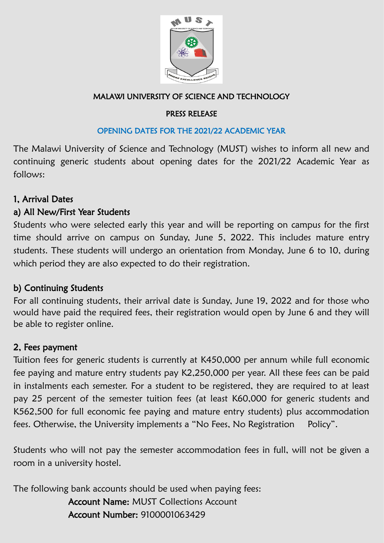

#### MALAWI UNIVERSITY OF SCIENCE AND TECHNOLOGY

#### PRESS RELEASE

## OPENING DATES FOR THE 2021/22 ACADEMIC YEAR

The Malawi University of Science and Technology (MUST) wishes to inform all new and continuing generic students about opening dates for the 2021/22 Academic Year as follows:

# 1, Arrival Dates

#### a) All New/First Year Students

Students who were selected early this year and will be reporting on campus for the first time should arrive on campus on Sunday, June 5, 2022. This includes mature entry students. These students will undergo an orientation from Monday, June 6 to 10, during which period they are also expected to do their registration.

# b) Continuing Students

For all continuing students, their arrival date is Sunday, June 19, 2022 and for those who would have paid the required fees, their registration would open by June 6 and they will be able to register online.

# 2, Fees payment

Tuition fees for generic students is currently at K450,000 per annum while full economic fee paying and mature entry students pay K2,250,000 per year. All these fees can be paid in instalments each semester. For a student to be registered, they are required to at least pay 25 percent of the semester tuition fees (at least K60,000 for generic students and K562,500 for full economic fee paying and mature entry students) plus accommodation fees. Otherwise, the University implements a "No Fees, No Registration Policy".

Students who will not pay the semester accommodation fees in full, will not be given a room in a university hostel.

The following bank accounts should be used when paying fees:

 Account Name: MUST Collections Account Account Number: 9100001063429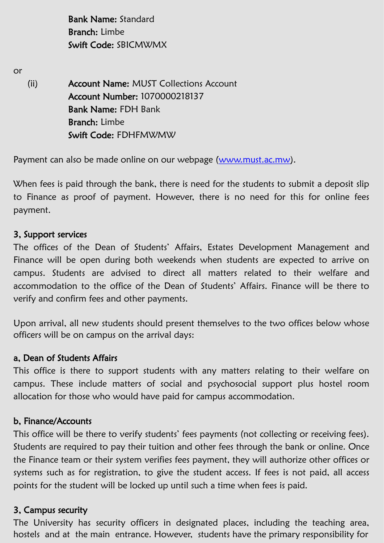Bank Name: Standard Branch: Limbe Swift Code: SBICMWMX

or

(ii) Account Name: MUST Collections Account Account Number: 1070000218137 Bank Name: FDH Bank Branch: Limbe Swift Code: FDHFMWMW

Payment can also be made online on our webpage [\(www.must.ac.mw\)](http://www.must.ac.mw).

When fees is paid through the bank, there is need for the students to submit a deposit slip to Finance as proof of payment. However, there is no need for this for online fees payment.

#### 3, Support services

The offices of the Dean of Students' Affairs, Estates Development Management and Finance will be open during both weekends when students are expected to arrive on campus. Students are advised to direct all matters related to their welfare and accommodation to the office of the Dean of Students' Affairs. Finance will be there to verify and confirm fees and other payments.

Upon arrival, all new students should present themselves to the two offices below whose officers will be on campus on the arrival days:

#### a, Dean of Students Affairs

This office is there to support students with any matters relating to their welfare on campus. These include matters of social and psychosocial support plus hostel room allocation for those who would have paid for campus accommodation.

#### b, Finance/Accounts

This office will be there to verify students' fees payments (not collecting or receiving fees). Students are required to pay their tuition and other fees through the bank or online. Once the Finance team or their system verifies fees payment, they will authorize other offices or systems such as for registration, to give the student access. If fees is not paid, all access points for the student will be locked up until such a time when fees is paid.

#### 3, Campus security

The University has security officers in designated places, including the teaching area, hostels and at the main entrance. However, students have the primary responsibility for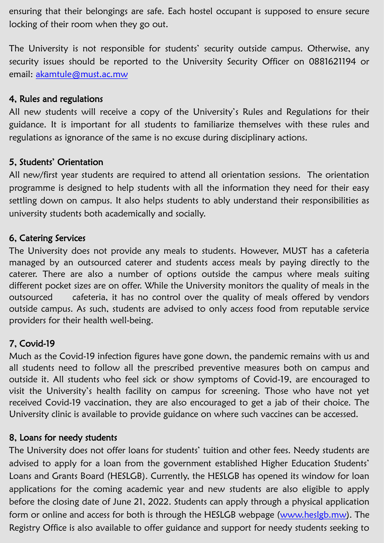ensuring that their belongings are safe. Each hostel occupant is supposed to ensure secure locking of their room when they go out.

The University is not responsible for students' security outside campus. Otherwise, any security issues should be reported to the University Security Officer on 0881621194 or email: [akamtule@must.ac.mw](mailto:akamtule@must.ac.mw)

### 4, Rules and regulations

All new students will receive a copy of the University's Rules and Regulations for their guidance. It is important for all students to familiarize themselves with these rules and regulations as ignorance of the same is no excuse during disciplinary actions.

# 5, Students' Orientation

All new/first year students are required to attend all orientation sessions. The orientation programme is designed to help students with all the information they need for their easy settling down on campus. It also helps students to ably understand their responsibilities as university students both academically and socially.

# 6, Catering Services

The University does not provide any meals to students. However, MUST has a cafeteria managed by an outsourced caterer and students access meals by paying directly to the caterer. There are also a number of options outside the campus where meals suiting different pocket sizes are on offer. While the University monitors the quality of meals in the outsourced cafeteria, it has no control over the quality of meals offered by vendors outside campus. As such, students are advised to only access food from reputable service providers for their health well-being.

# 7, Covid-19

Much as the Covid-19 infection figures have gone down, the pandemic remains with us and all students need to follow all the prescribed preventive measures both on campus and outside it. All students who feel sick or show symptoms of Covid-19, are encouraged to visit the University's health facility on campus for screening. Those who have not yet received Covid-19 vaccination, they are also encouraged to get a jab of their choice. The University clinic is available to provide guidance on where such vaccines can be accessed.

# 8, Loans for needy students

The University does not offer loans for students' tuition and other fees. Needy students are advised to apply for a loan from the government established Higher Education Students' Loans and Grants Board (HESLGB). Currently, the HESLGB has opened its window for loan applications for the coming academic year and new students are also eligible to apply before the closing date of June 21, 2022. Students can apply through a physical application form or online and access for both is through the HESLGB webpage [\(www.heslgb.mw\)](http://www.heslgb.mw). The Registry Office is also available to offer guidance and support for needy students seeking to